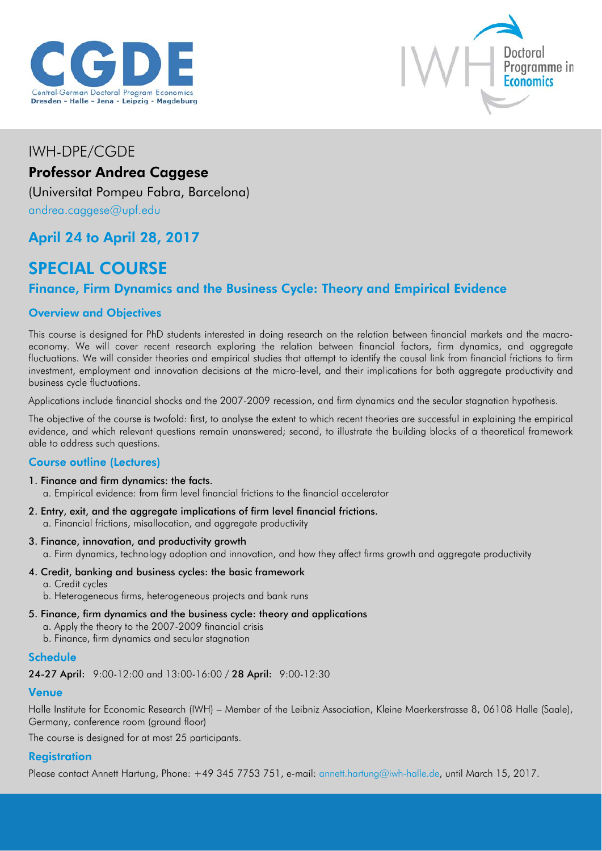



# IWH-DPE/CGDE Professor Andrea Caggese

(Universitat Pompeu Fabra, Barcelona) [andrea.caggese@upf.edu](mailto:andrea.caggese@upf.edu)

## April 24 to April 28, 2017

# SPECIAL COURSE

## Finance, Firm Dynamics and the Business Cycle: Theory and Empirical Evidence

## Overview and Objectives

This course is designed for PhD students interested in doing research on the relation between financial markets and the macroeconomy. We will cover recent research exploring the relation between financial factors, firm dynamics, and aggregate fluctuations. We will consider theories and empirical studies that attempt to identify the causal link from financial frictions to firm investment, employment and innovation decisions at the micro-level, and their implications for both aggregate productivity and business cycle fluctuations.

Applications include financial shocks and the 2007-2009 recession, and firm dynamics and the secular stagnation hypothesis.

The objective of the course is twofold: first, to analyse the extent to which recent theories are successful in explaining the empirical evidence, and which relevant questions remain unanswered; second, to illustrate the building blocks of a theoretical framework able to address such questions.

## Course outline (Lectures)

1. Finance and firm dynamics: the facts.

a. Empirical evidence: from firm level financial frictions to the financial accelerator

- 2. Entry, exit, and the aggregate implications of firm level financial frictions. a. Financial frictions, misallocation, and aggregate productivity
- 3. Finance, innovation, and productivity growth a. Firm dynamics, technology adoption and innovation, and how they affect firms growth and aggregate productivity
- 4. Credit, banking and business cycles: the basic framework
	- a. Credit cycles
	- b. Heterogeneous firms, heterogeneous projects and bank runs
- 5. Finance, firm dynamics and the business cycle: theory and applications a. Apply the theory to the 2007-2009 financial crisis b. Finance, firm dynamics and secular stagnation

#### **Schedule**

24-27 April: 9:00-12:00 and 13:00-16:00 / 28 April: 9:00-12:30

## Venue

Halle Institute for Economic Research (IWH) – Member of the Leibniz Association, Kleine Maerkerstrasse 8, 06108 Halle (Saale), Germany, conference room (ground floor)

The course is designed for at most 25 participants.

## **Registration**

Please contact Annett Hartung, Phone: +49 345 7753 751, e-mail: [annett.hartung@iwh-halle.de,](mailto:annett.hartung@iwh-halle.de) until March 15, 2017.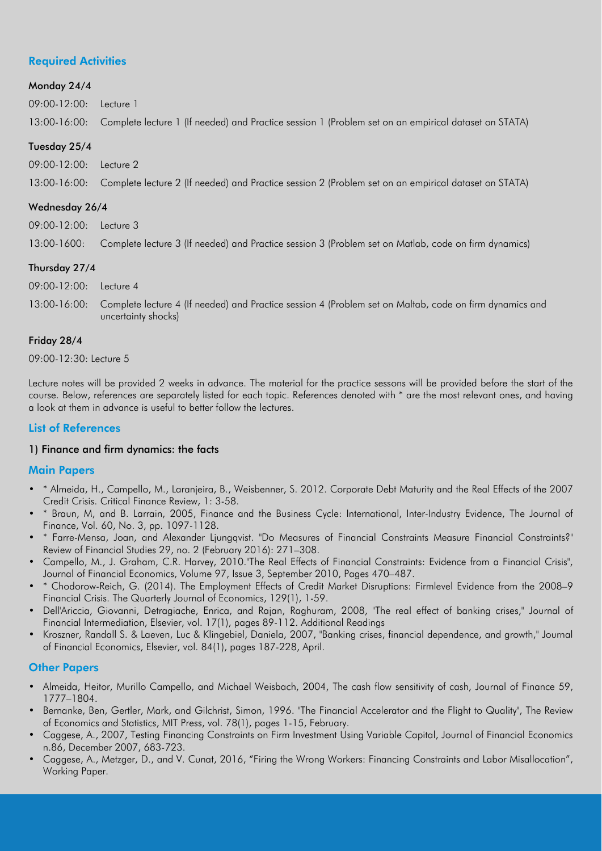## Required Activities

#### Monday 24/4

09:00-12:00: Lecture 1

13:00-16:00: Complete lecture 1 (If needed) and Practice session 1 (Problem set on an empirical dataset on STATA)

#### Tuesday 25/4

09:00-12:00: Lecture 2

13:00-16:00: Complete lecture 2 (If needed) and Practice session 2 (Problem set on an empirical dataset on STATA)

#### Wednesday 26/4

09:00-12:00: Lecture 3 13:00-1600: Complete lecture 3 (If needed) and Practice session 3 (Problem set on Matlab, code on firm dynamics)

#### Thursday 27/4

| 09:00-12:00: Lecture 4 |                                                                                                                      |
|------------------------|----------------------------------------------------------------------------------------------------------------------|
|                        | 13:00-16:00: Complete lecture 4 (If needed) and Practice session 4 (Problem set on Maltab, code on firm dynamics and |
|                        | uncertainty shocks)                                                                                                  |

#### Friday 28/4

09:00-12:30: Lecture 5

Lecture notes will be provided 2 weeks in advance. The material for the practice sessons will be provided before the start of the course. Below, references are separately listed for each topic. References denoted with \* are the most relevant ones, and having a look at them in advance is useful to better follow the lectures.

## List of References

#### 1) Finance and firm dynamics: the facts

#### Main Papers

- \* Almeida, H., Campello, M., Laranjeira, B., Weisbenner, S. 2012. Corporate Debt Maturity and the Real Effects of the 2007 Credit Crisis. Critical Finance Review, 1: 3-58.
- \* Braun, M, and B. Larrain, 2005, Finance and the Business Cycle: International, Inter-Industry Evidence, The Journal of Finance, Vol. 60, No. 3, pp. 1097-1128.
- \* Farre-Mensa, Joan, and Alexander Ljungqvist. "Do Measures of Financial Constraints Measure Financial Constraints?" Review of Financial Studies 29, no. 2 (February 2016): 271–308.
- Campello, M., J. Graham, C.R. Harvey, 2010."The Real Effects of Financial Constraints: Evidence from a Financial Crisis", Journal of Financial Economics, Volume 97, Issue 3, September 2010, Pages 470–487.
- \* Chodorow-Reich, G. (2014). The Employment Effects of Credit Market Disruptions: Firmlevel Evidence from the 2008–9 Financial Crisis. The Quarterly Journal of Economics, 129(1), 1-59.
- Dell'Ariccia, Giovanni, Detragiache, Enrica, and Rajan, Raghuram, 2008, "The real effect of banking crises," Journal of Financial Intermediation, Elsevier, vol. 17(1), pages 89-112. Additional Readings
- Kroszner, Randall S. & Laeven, Luc & Klingebiel, Daniela, 2007, "Banking crises, financial dependence, and growth," Journal of Financial Economics, Elsevier, vol. 84(1), pages 187-228, April.

## **Other Papers**

- Almeida, Heitor, Murillo Campello, and Michael Weisbach, 2004, The cash flow sensitivity of cash, Journal of Finance 59, 1777–1804.
- Bernanke, Ben, Gertler, Mark, and Gilchrist, Simon, 1996. "The Financial Accelerator and the Flight to Quality", The Review of Economics and Statistics, MIT Press, vol. 78(1), pages 1-15, February.
- Caggese, A., 2007, Testing Financing Constraints on Firm Investment Using Variable Capital, Journal of Financial Economics n.86, December 2007, 683-723.
- Caggese, A., Metzger, D., and V. Cunat, 2016, "Firing the Wrong Workers: Financing Constraints and Labor Misallocation", Working Paper.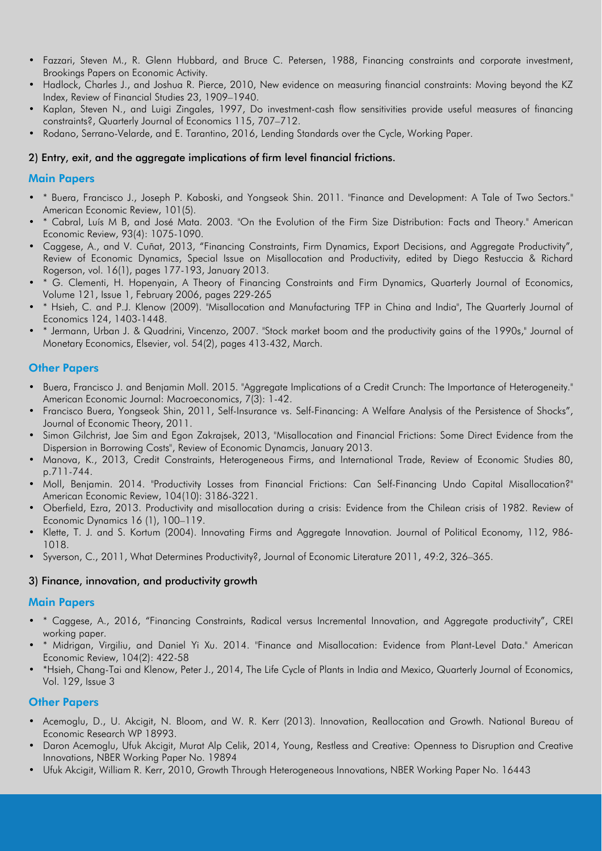- Fazzari, Steven M., R. Glenn Hubbard, and Bruce C. Petersen, 1988, Financing constraints and corporate investment, Brookings Papers on Economic Activity.
- Hadlock, Charles J., and Joshua R. Pierce, 2010, New evidence on measuring financial constraints: Moving beyond the KZ Index, Review of Financial Studies 23, 1909–1940.
- Kaplan, Steven N., and Luigi Zingales, 1997, Do investment-cash flow sensitivities provide useful measures of financing constraints?, Quarterly Journal of Economics 115, 707–712.
- Rodano, Serrano-Velarde, and E. Tarantino, 2016, Lending Standards over the Cycle, Working Paper.

#### 2) Entry, exit, and the aggregate implications of firm level financial frictions.

#### Main Papers

- \* Buera, Francisco J., Joseph P. Kaboski, and Yongseok Shin. 2011. "Finance and Development: A Tale of Two Sectors." American Economic Review, 101(5).
- \* Cabral, Luís M B, and José Mata. 2003. "On the Evolution of the Firm Size Distribution: Facts and Theory." American Economic Review, 93(4): 1075-1090.
- Caggese, A., and V. Cuñat, 2013, "Financing Constraints, Firm Dynamics, Export Decisions, and Aggregate Productivity", Review of Economic Dynamics, Special Issue on Misallocation and Productivity, edited by Diego Restuccia & Richard Rogerson, vol. 16(1), pages 177-193, January 2013.
- \* G. Clementi, H. Hopenyain, A Theory of Financing Constraints and Firm Dynamics, Quarterly Journal of Economics, Volume 121, Issue 1, February 2006, pages 229-265
- \* Hsieh, C. and P.J. Klenow (2009). "Misallocation and Manufacturing TFP in China and India", The Quarterly Journal of Economics 124, 1403-1448.
- \* Jermann, Urban J. & Quadrini, Vincenzo, 2007. "Stock market boom and the productivity gains of the 1990s," Journal of Monetary Economics, Elsevier, vol. 54(2), pages 413-432, March.

#### **Other Papers**

- Buera, Francisco J. and Benjamin Moll. 2015. "Aggregate Implications of a Credit Crunch: The Importance of Heterogeneity." American Economic Journal: Macroeconomics, 7(3): 1-42.
- Francisco Buera, Yongseok Shin, 2011, Self-Insurance vs. Self-Financing: A Welfare Analysis of the Persistence of Shocks", Journal of Economic Theory, 2011.
- Simon Gilchrist, Jae Sim and Egon Zakrajsek, 2013, "Misallocation and Financial Frictions: Some Direct Evidence from the Dispersion in Borrowing Costs'', Review of Economic Dynamcis, January 2013.
- Manova, K., 2013, Credit Constraints, Heterogeneous Firms, and International Trade, Review of Economic Studies 80, p.711-744.
- Moll, Benjamin. 2014. "Productivity Losses from Financial Frictions: Can Self-Financing Undo Capital Misallocation?" American Economic Review, 104(10): 3186-3221.
- Oberfield, Ezra, 2013. Productivity and misallocation during a crisis: Evidence from the Chilean crisis of 1982. Review of Economic Dynamics 16 (1), 100–119.
- Klette, T. J. and S. Kortum (2004). Innovating Firms and Aggregate Innovation. Journal of Political Economy, 112, 986- 1018.
- Syverson, C., 2011, What Determines Productivity?, Journal of Economic Literature 2011, 49:2, 326–365.

#### 3) Finance, innovation, and productivity growth

#### Main Papers

- \* Caggese, A., 2016, "Financing Constraints, Radical versus Incremental Innovation, and Aggregate productivity", CREI working paper.
- \* Midrigan, Virgiliu, and Daniel Yi Xu. 2014. "Finance and Misallocation: Evidence from Plant-Level Data." American Economic Review, 104(2): 422-58
- \*Hsieh, Chang-Tai and Klenow, Peter J., 2014, The Life Cycle of Plants in India and Mexico, Quarterly Journal of Economics, Vol. 129, Issue 3

## Other Papers

- Acemoglu, D., U. Akcigit, N. Bloom, and W. R. Kerr (2013). Innovation, Reallocation and Growth. National Bureau of Economic Research WP 18993.
- Daron Acemoglu, Ufuk Akcigit, Murat Alp Celik, 2014, Young, Restless and Creative: Openness to Disruption and Creative Innovations, NBER Working Paper No. 19894
- Ufuk Akcigit, William R. Kerr, 2010, Growth Through Heterogeneous Innovations, NBER Working Paper No. 16443